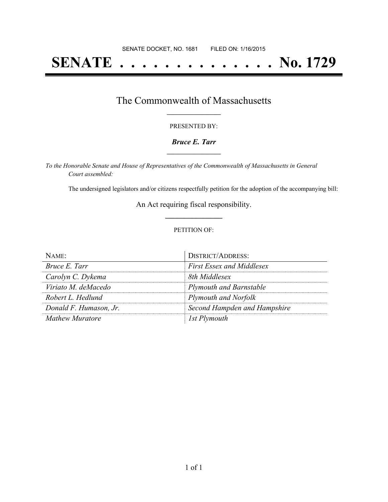# **SENATE . . . . . . . . . . . . . . No. 1729**

## The Commonwealth of Massachusetts **\_\_\_\_\_\_\_\_\_\_\_\_\_\_\_\_\_**

#### PRESENTED BY:

#### *Bruce E. Tarr* **\_\_\_\_\_\_\_\_\_\_\_\_\_\_\_\_\_**

*To the Honorable Senate and House of Representatives of the Commonwealth of Massachusetts in General Court assembled:*

The undersigned legislators and/or citizens respectfully petition for the adoption of the accompanying bill:

An Act requiring fiscal responsibility. **\_\_\_\_\_\_\_\_\_\_\_\_\_\_\_**

#### PETITION OF:

| NAME                   | <b>DISTRICT/ADDRESS:</b>         |
|------------------------|----------------------------------|
| Bruce E. Tarr          | <b>First Essex and Middlesex</b> |
| Carolyn C. Dykema      | 8th Middlesex                    |
| Viriato M. deMacedo    | <b>Plymouth and Barnstable</b>   |
| Robert L. Hedlund      | <b>Plymouth and Norfolk</b>      |
| Donald F. Humason, Jr. | Second Hampden and Hampshire     |
| Mathew Muratore        | 1st Plymouth                     |